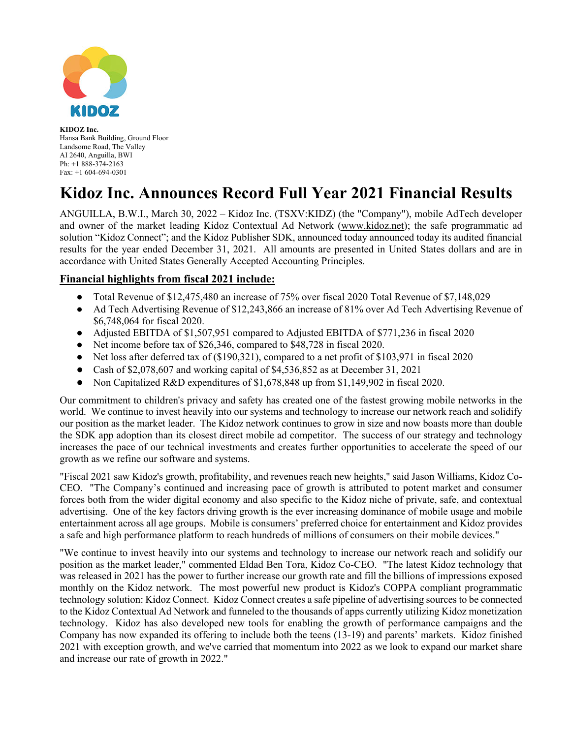

**KIDOZ Inc.** Hansa Bank Building, Ground Floor Landsome Road, The Valley AI 2640, Anguilla, BWI Ph: +1 888-374-2163 Fax: +1 604-694-0301

## **Kidoz Inc. Announces Record Full Year 2021 Financial Results**

ANGUILLA, B.W.I., March 30, 2022 – Kidoz Inc. (TSXV:KIDZ) (the "Company"), mobile AdTech developer and owner of the market leading Kidoz Contextual Ad Network (www.kidoz.net); the safe programmatic ad solution "Kidoz Connect"; and the Kidoz Publisher SDK, announced today announced today its audited financial results for the year ended December 31, 2021. All amounts are presented in United States dollars and are in accordance with United States Generally Accepted Accounting Principles.

## **Financial highlights from fiscal 2021 include:**

- Total Revenue of \$12,475,480 an increase of 75% over fiscal 2020 Total Revenue of \$7,148,029
- Ad Tech Advertising Revenue of \$12,243,866 an increase of 81% over Ad Tech Advertising Revenue of \$6,748,064 for fiscal 2020.
- Adjusted EBITDA of \$1,507,951 compared to Adjusted EBITDA of \$771,236 in fiscal 2020
- Net income before tax of \$26,346, compared to \$48,728 in fiscal 2020.
- Net loss after deferred tax of (\$190,321), compared to a net profit of \$103,971 in fiscal 2020
- Cash of \$2,078,607 and working capital of \$4,536,852 as at December 31, 2021
- Non Capitalized R&D expenditures of \$1,678,848 up from \$1,149,902 in fiscal 2020.

Our commitment to children's privacy and safety has created one of the fastest growing mobile networks in the world. We continue to invest heavily into our systems and technology to increase our network reach and solidify our position as the market leader. The Kidoz network continues to grow in size and now boasts more than double the SDK app adoption than its closest direct mobile ad competitor. The success of our strategy and technology increases the pace of our technical investments and creates further opportunities to accelerate the speed of our growth as we refine our software and systems.

"Fiscal 2021 saw Kidoz's growth, profitability, and revenues reach new heights," said Jason Williams, Kidoz Co-CEO. "The Company's continued and increasing pace of growth is attributed to potent market and consumer forces both from the wider digital economy and also specific to the Kidoz niche of private, safe, and contextual advertising. One of the key factors driving growth is the ever increasing dominance of mobile usage and mobile entertainment across all age groups. Mobile is consumers' preferred choice for entertainment and Kidoz provides a safe and high performance platform to reach hundreds of millions of consumers on their mobile devices."

"We continue to invest heavily into our systems and technology to increase our network reach and solidify our position as the market leader," commented Eldad Ben Tora, Kidoz Co-CEO. "The latest Kidoz technology that was released in 2021 has the power to further increase our growth rate and fill the billions of impressions exposed monthly on the Kidoz network. The most powerful new product is Kidoz's COPPA compliant programmatic technology solution: Kidoz Connect. Kidoz Connect creates a safe pipeline of advertising sources to be connected to the Kidoz Contextual Ad Network and funneled to the thousands of apps currently utilizing Kidoz monetization technology. Kidoz has also developed new tools for enabling the growth of performance campaigns and the Company has now expanded its offering to include both the teens (13-19) and parents' markets. Kidoz finished 2021 with exception growth, and we've carried that momentum into 2022 as we look to expand our market share and increase our rate of growth in 2022."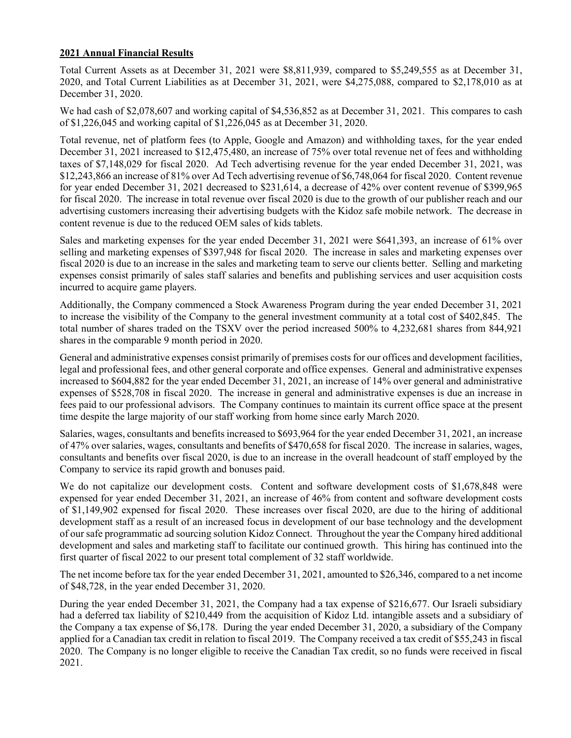## **2021 Annual Financial Results**

Total Current Assets as at December 31, 2021 were \$8,811,939, compared to \$5,249,555 as at December 31, 2020, and Total Current Liabilities as at December 31, 2021, were \$4,275,088, compared to \$2,178,010 as at December 31, 2020.

We had cash of \$2,078,607 and working capital of \$4,536,852 as at December 31, 2021. This compares to cash of \$1,226,045 and working capital of \$1,226,045 as at December 31, 2020.

Total revenue, net of platform fees (to Apple, Google and Amazon) and withholding taxes, for the year ended December 31, 2021 increased to \$12,475,480, an increase of 75% over total revenue net of fees and withholding taxes of \$7,148,029 for fiscal 2020. Ad Tech advertising revenue for the year ended December 31, 2021, was \$12,243,866 an increase of 81% over Ad Tech advertising revenue of \$6,748,064 for fiscal 2020. Content revenue for year ended December 31, 2021 decreased to \$231,614, a decrease of 42% over content revenue of \$399,965 for fiscal 2020. The increase in total revenue over fiscal 2020 is due to the growth of our publisher reach and our advertising customers increasing their advertising budgets with the Kidoz safe mobile network. The decrease in content revenue is due to the reduced OEM sales of kids tablets.

Sales and marketing expenses for the year ended December 31, 2021 were \$641,393, an increase of 61% over selling and marketing expenses of \$397,948 for fiscal 2020. The increase in sales and marketing expenses over fiscal 2020 is due to an increase in the sales and marketing team to serve our clients better. Selling and marketing expenses consist primarily of sales staff salaries and benefits and publishing services and user acquisition costs incurred to acquire game players.

Additionally, the Company commenced a Stock Awareness Program during the year ended December 31, 2021 to increase the visibility of the Company to the general investment community at a total cost of \$402,845. The total number of shares traded on the TSXV over the period increased 500% to 4,232,681 shares from 844,921 shares in the comparable 9 month period in 2020.

General and administrative expenses consist primarily of premises costs for our offices and development facilities, legal and professional fees, and other general corporate and office expenses. General and administrative expenses increased to \$604,882 for the year ended December 31, 2021, an increase of 14% over general and administrative expenses of \$528,708 in fiscal 2020. The increase in general and administrative expenses is due an increase in fees paid to our professional advisors. The Company continues to maintain its current office space at the present time despite the large majority of our staff working from home since early March 2020.

Salaries, wages, consultants and benefits increased to \$693,964 for the year ended December 31, 2021, an increase of 47% over salaries, wages, consultants and benefits of \$470,658 for fiscal 2020. The increase in salaries, wages, consultants and benefits over fiscal 2020, is due to an increase in the overall headcount of staff employed by the Company to service its rapid growth and bonuses paid.

We do not capitalize our development costs. Content and software development costs of \$1,678,848 were expensed for year ended December 31, 2021, an increase of 46% from content and software development costs of \$1,149,902 expensed for fiscal 2020. These increases over fiscal 2020, are due to the hiring of additional development staff as a result of an increased focus in development of our base technology and the development of our safe programmatic ad sourcing solution Kidoz Connect. Throughout the year the Company hired additional development and sales and marketing staff to facilitate our continued growth. This hiring has continued into the first quarter of fiscal 2022 to our present total complement of 32 staff worldwide.

The net income before tax for the year ended December 31, 2021, amounted to \$26,346, compared to a net income of \$48,728, in the year ended December 31, 2020.

During the year ended December 31, 2021, the Company had a tax expense of \$216,677. Our Israeli subsidiary had a deferred tax liability of \$210,449 from the acquisition of Kidoz Ltd. intangible assets and a subsidiary of the Company a tax expense of \$6,178. During the year ended December 31, 2020, a subsidiary of the Company applied for a Canadian tax credit in relation to fiscal 2019. The Company received a tax credit of \$55,243 in fiscal 2020. The Company is no longer eligible to receive the Canadian Tax credit, so no funds were received in fiscal 2021.